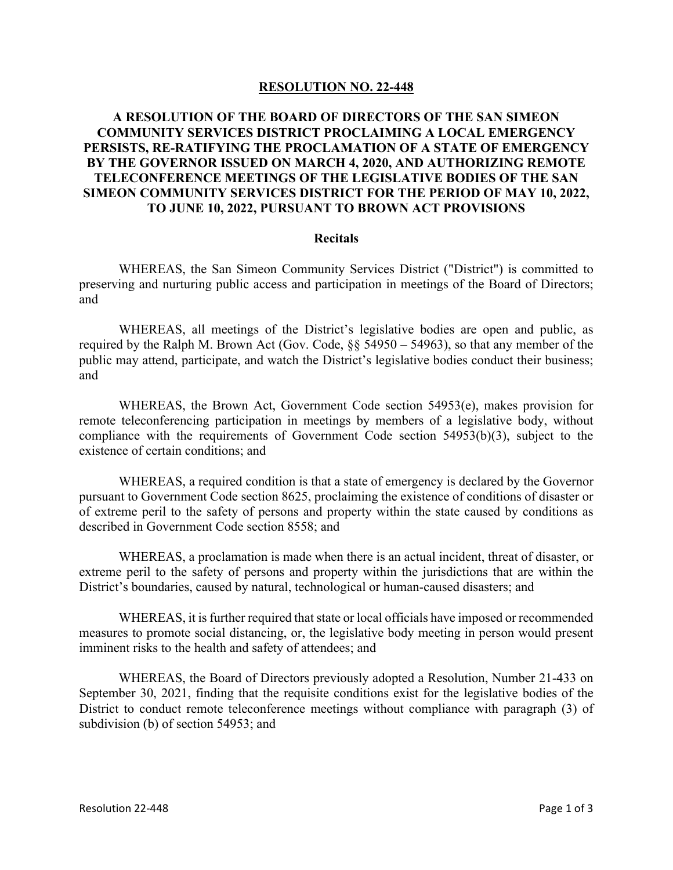## **RESOLUTION NO. 22-448**

## **A RESOLUTION OF THE BOARD OF DIRECTORS OF THE SAN SIMEON COMMUNITY SERVICES DISTRICT PROCLAIMING A LOCAL EMERGENCY PERSISTS, RE-RATIFYING THE PROCLAMATION OF A STATE OF EMERGENCY BY THE GOVERNOR ISSUED ON MARCH 4, 2020, AND AUTHORIZING REMOTE TELECONFERENCE MEETINGS OF THE LEGISLATIVE BODIES OF THE SAN SIMEON COMMUNITY SERVICES DISTRICT FOR THE PERIOD OF MAY 10, 2022, TO JUNE 10, 2022, PURSUANT TO BROWN ACT PROVISIONS**

## **Recitals**

 WHEREAS, the San Simeon Community Services District ("District") is committed to preserving and nurturing public access and participation in meetings of the Board of Directors; and

 WHEREAS, all meetings of the District's legislative bodies are open and public, as required by the Ralph M. Brown Act (Gov. Code, §§ 54950 – 54963), so that any member of the public may attend, participate, and watch the District's legislative bodies conduct their business; and

 WHEREAS, the Brown Act, Government Code section 54953(e), makes provision for remote teleconferencing participation in meetings by members of a legislative body, without compliance with the requirements of Government Code section 54953(b)(3), subject to the existence of certain conditions; and

 WHEREAS, a required condition is that a state of emergency is declared by the Governor pursuant to Government Code section 8625, proclaiming the existence of conditions of disaster or of extreme peril to the safety of persons and property within the state caused by conditions as described in Government Code section 8558; and

WHEREAS, a proclamation is made when there is an actual incident, threat of disaster, or extreme peril to the safety of persons and property within the jurisdictions that are within the District's boundaries, caused by natural, technological or human-caused disasters; and

WHEREAS, it is further required that state or local officials have imposed or recommended measures to promote social distancing, or, the legislative body meeting in person would present imminent risks to the health and safety of attendees; and

WHEREAS, the Board of Directors previously adopted a Resolution, Number 21-433 on September 30, 2021, finding that the requisite conditions exist for the legislative bodies of the District to conduct remote teleconference meetings without compliance with paragraph (3) of subdivision (b) of section 54953; and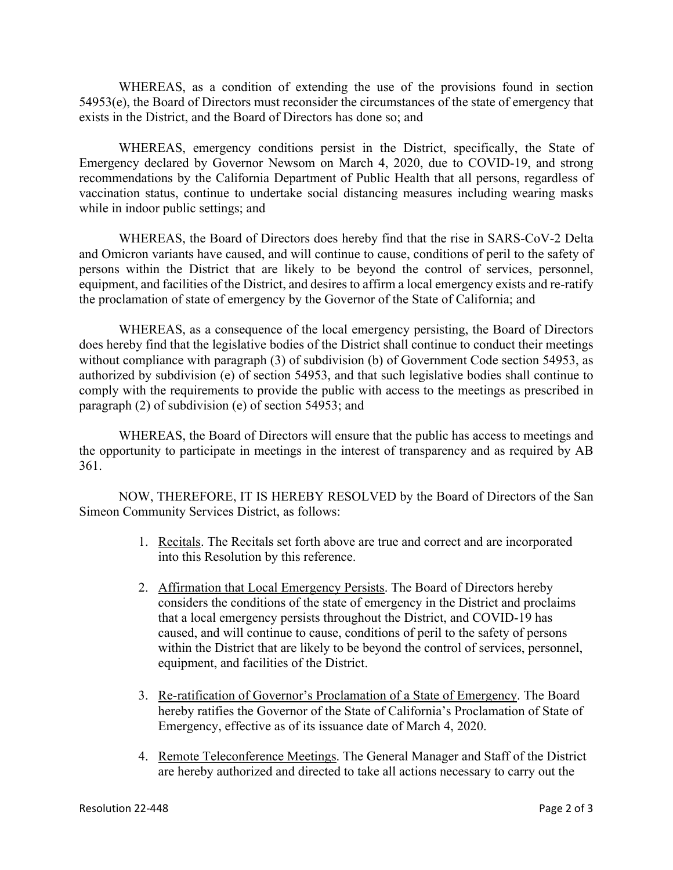WHEREAS, as a condition of extending the use of the provisions found in section 54953(e), the Board of Directors must reconsider the circumstances of the state of emergency that exists in the District, and the Board of Directors has done so; and

WHEREAS, emergency conditions persist in the District, specifically, the State of Emergency declared by Governor Newsom on March 4, 2020, due to COVID-19, and strong recommendations by the California Department of Public Health that all persons, regardless of vaccination status, continue to undertake social distancing measures including wearing masks while in indoor public settings; and

WHEREAS, the Board of Directors does hereby find that the rise in SARS-CoV-2 Delta and Omicron variants have caused, and will continue to cause, conditions of peril to the safety of persons within the District that are likely to be beyond the control of services, personnel, equipment, and facilities of the District, and desires to affirm a local emergency exists and re-ratify the proclamation of state of emergency by the Governor of the State of California; and

WHEREAS, as a consequence of the local emergency persisting, the Board of Directors does hereby find that the legislative bodies of the District shall continue to conduct their meetings without compliance with paragraph (3) of subdivision (b) of Government Code section 54953, as authorized by subdivision (e) of section 54953, and that such legislative bodies shall continue to comply with the requirements to provide the public with access to the meetings as prescribed in paragraph (2) of subdivision (e) of section 54953; and

WHEREAS, the Board of Directors will ensure that the public has access to meetings and the opportunity to participate in meetings in the interest of transparency and as required by AB 361.

 NOW, THEREFORE, IT IS HEREBY RESOLVED by the Board of Directors of the San Simeon Community Services District, as follows:

- 1. Recitals. The Recitals set forth above are true and correct and are incorporated into this Resolution by this reference.
- 2. Affirmation that Local Emergency Persists. The Board of Directors hereby considers the conditions of the state of emergency in the District and proclaims that a local emergency persists throughout the District, and COVID-19 has caused, and will continue to cause, conditions of peril to the safety of persons within the District that are likely to be beyond the control of services, personnel, equipment, and facilities of the District.
- 3. Re-ratification of Governor's Proclamation of a State of Emergency. The Board hereby ratifies the Governor of the State of California's Proclamation of State of Emergency, effective as of its issuance date of March 4, 2020.
- 4. Remote Teleconference Meetings. The General Manager and Staff of the District are hereby authorized and directed to take all actions necessary to carry out the